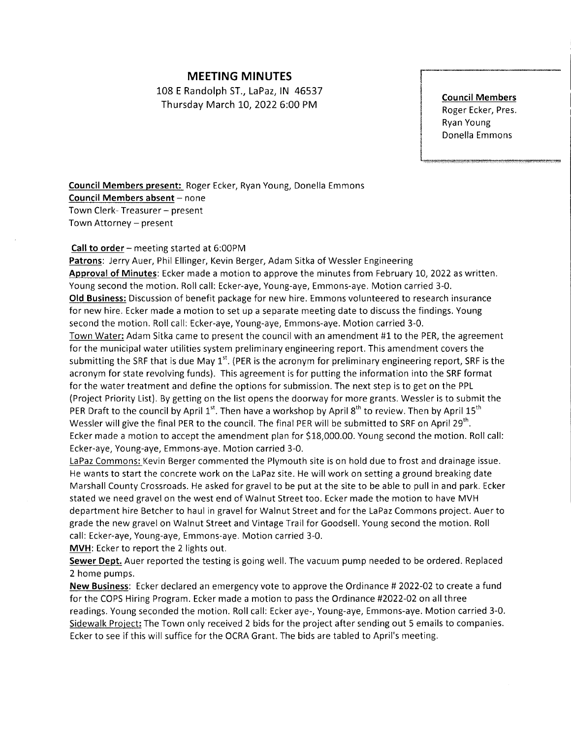## MEETING MINUTES

108 E Randolph ST., LaPaz,lN 46537 Thursday March L0,2022 6:00 PM

Council Members Roger Ecker, Pres. Ryan Young Donella Emmons

Council Members present: Roger Ecker, Ryan Young, Donella Emmons Council Members absent - none Town Clerk- Treasurer - present Town Attorney - present

## Call to order - meeting started at 6:00PM

Patrons: Jerry Auer, Phil Ellinger, Kevin Berger, Adam Sitka of Wessler Engineering Approval of Minutes: Ecker made a motion to approve the minutes from February 10, 2022 as written. Young second the motion. Roll call: Ecker-aye, Young-aye, Emmons-aye. Motion carried 3-0. Old Business: Discussion of benefit package for new hire. Emmons volunteered to research insurance for new hire. Ecker made a motion to set up a separate meeting date to discuss the findings. Young second the motion. Roll call: Ecker-aye, Young-aye, Emmons-aye. Motion carried 3-0.

Town Water: Adam Sitka came to present the council with an amendment #1 to the PER, the agreement for the municipal water utilities system preliminary engineering report. This amendment covers the submitting the SRF that is due May  $1<sup>st</sup>$ . (PER is the acronym for preliminary engineering report, SRF is the acronym for state revolving funds). This agreement is for putting the information into the SRF format for the water treatment and define the options for submission. The next step is to get on the PPL (Project Priority List). By getting on the list opens the doorway for more grants. Wessler is to submit the PER Draft to the council by April  $1^{st}$ . Then have a workshop by April  $8^{th}$  to review. Then by April  $15^{th}$ Wessler will give the final PER to the council. The final PER will be submitted to SRF on April 29<sup>th</sup>. Ecker made a motion to accept the amendment plan for S18,000.00. Young second the motion. Roll call: Ecker-aye, Young-aye, Emmons-aye. Motion carried 3-0.

LaPaz Commons: Kevin Berger commented the Plymouth site is on hold due to frost and drainage issue. He wants to start the concrete work on the LaPaz site. He will work on setting a ground breaking date Marshall County Crossroads. He asked for gravel to be put at the site to be able to pull in and park. Ecker stated we need gravelon the west end of Walnut Street too. Ecker made the motion to have MVH department hire Betcher to haul in gravel for Walnut Street and for the LaPaz Commons project. Auer to grade the new gravel on Walnut Street and Vintage Trail for Goodsell. Young second the motion. Roll call: Ecker-aye, Young-aye, Emmons-aye. Motion carried 3-0.

MVH: Ecker to report the 2 lights out.

Sewer Dept. Auer reported the testing is going well. The vacuum pump needed to be ordered. Replaced 2 home pumps.

New Business: Ecker declared an emergency vote to approve the Ordinance #2022-02 to create a fund for the COPS Hiring Program. Ecker made a motion to pass the Ordinance #2022-02 on all three readings. Young seconded the motion. Roll call: Ecker aye-, Young-aye, Emmons-aye. Motion carried 3-0. Sidewalk Project: The Town only received 2 bids for the project after sending out 5 emails to companies. Ecker to see if this will suffice for the OCRA Grant. The bids are tabled to April's meeting.